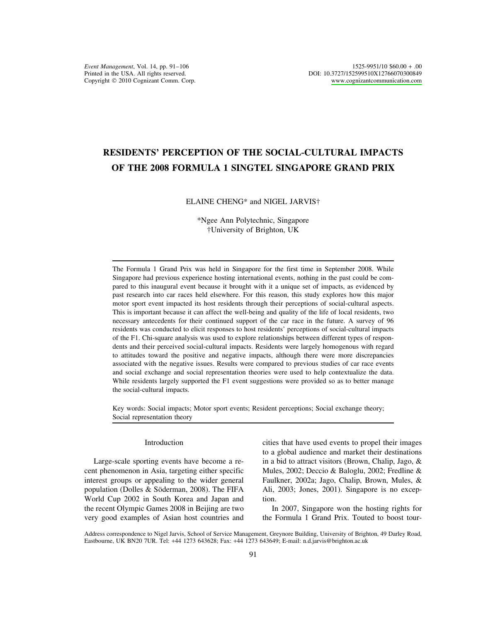# **RESIDENTS' PERCEPTION OF THE SOCIAL-CULTURAL IMPACTS** OF THE 2008 FORMULA 1 SINGTEL SINGAPORE GRAND PRIX

ELAINE CHENG\* and NIGEL JARVIS†

\*Ngee Ann Polytechnic, Singapore †University of Brighton, UK

The Formula 1 Grand Prix was held in Singapore for the first time in September 2008. While Singapore had previous experience hosting international events, nothing in the past could be compared to this inaugural event because it brought with it a unique set of impacts, as evidenced by past research into car races held elsewhere. For this reason, this study explores how this major motor sport event impacted its host residents through their perceptions of social-cultural aspects. This is important because it can affect the well-being and quality of the life of local residents, two necessary antecedents for their continued support of the car race in the future. A survey of 96 residents was conducted to elicit responses to host residents' perceptions of social-cultural impacts of the F1. Chi-square analysis was used to explore relationships between different types of respondents and their perceived social-cultural impacts. Residents were largely homogenous with regard to attitudes toward the positive and negative impacts, although there were more discrepancies associated with the negative issues. Results were compared to previous studies of car race events and social exchange and social representation theories were used to help contextualize the data. While residents largely supported the F1 event suggestions were provided so as to better manage the social-cultural impacts.

Key words: Social impacts; Motor sport events; Resident perceptions; Social exchange theory; Social representation theory

## Introduction

Large-scale sporting events have become a recent phenomenon in Asia, targeting either specific interest groups or appealing to the wider general population (Dolles & Söderman, 2008). The FIFA World Cup 2002 in South Korea and Japan and the recent Olympic Games 2008 in Beijing are two very good examples of Asian host countries and

cities that have used events to propel their images to a global audience and market their destinations in a bid to attract visitors (Brown, Chalip, Jago, & Mules, 2002; Deccio & Baloglu, 2002; Fredline & Faulkner, 2002a; Jago, Chalip, Brown, Mules, & Ali, 2003; Jones, 2001). Singapore is no exception.

In 2007, Singapore won the hosting rights for the Formula 1 Grand Prix. Touted to boost tour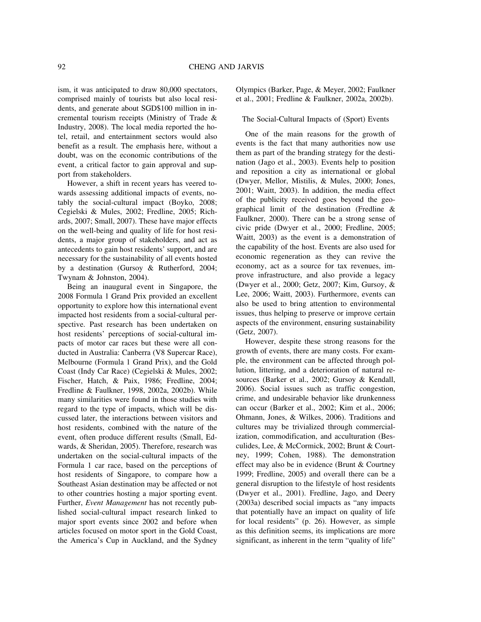ism, it was anticipated to draw 80,000 spectators, comprised mainly of tourists but also local residents, and generate about SGD\$100 million in incremental tourism receipts (Ministry of Trade & Industry, 2008). The local media reported the hotel. retail, and entertainment sectors would also benefit as a result. The emphasis here, without a doubt, was on the economic contributions of the event, a critical factor to gain approval and support from stakeholders.

However, a shift in recent years has veered towards assessing additional impacts of events, notably the social-cultural impact (Boyko, 2008; Cegielski & Mules, 2002; Fredline, 2005; Richards, 2007; Small, 2007). These have major effects on the well-being and quality of life for host residents, a major group of stakeholders, and act as antecedents to gain host residents' support, and are necessary for the sustainability of all events hosted by a destination (Gursoy & Rutherford, 2004; Twynam & Johnston, 2004).

Being an inaugural event in Singapore, the 2008 Formula 1 Grand Prix provided an excellent opportunity to explore how this international event impacted host residents from a social-cultural perspective. Past research has been undertaken on host residents' perceptions of social-cultural impacts of motor car races but these were all conducted in Australia: Canberra (V8 Supercar Race), Melbourne (Formula 1 Grand Prix), and the Gold Coast (Indy Car Race) (Cegielski & Mules, 2002; Fischer, Hatch, & Paix, 1986; Fredline, 2004; Fredline & Faulkner, 1998, 2002a, 2002b). While many similarities were found in those studies with regard to the type of impacts, which will be discussed later, the interactions between visitors and host residents, combined with the nature of the event, often produce different results (Small, Edwards, & Sheridan, 2005). Therefore, research was undertaken on the social-cultural impacts of the Formula 1 car race, based on the perceptions of host residents of Singapore, to compare how a Southeast Asian destination may be affected or not to other countries hosting a major sporting event. Further, Event Management has not recently published social-cultural impact research linked to major sport events since 2002 and before when articles focused on motor sport in the Gold Coast, the America's Cup in Auckland, and the Sydney Olympics (Barker, Page, & Meyer, 2002; Faulkner et al., 2001; Fredline & Faulkner, 2002a, 2002b).

The Social-Cultural Impacts of (Sport) Events

One of the main reasons for the growth of events is the fact that many authorities now use them as part of the branding strategy for the destination (Jago et al., 2003). Events help to position and reposition a city as international or global (Dwyer, Mellor, Mistilis, & Mules, 2000; Jones, 2001; Waitt, 2003). In addition, the media effect of the publicity received goes beyond the geographical limit of the destination (Fredline  $\&$ Faulkner, 2000). There can be a strong sense of civic pride (Dwyer et al., 2000; Fredline, 2005; Waitt, 2003) as the event is a demonstration of the capability of the host. Events are also used for economic regeneration as they can revive the economy, act as a source for tax revenues, improve infrastructure, and also provide a legacy (Dwyer et al., 2000; Getz, 2007; Kim, Gursoy, & Lee, 2006; Waitt, 2003). Furthermore, events can also be used to bring attention to environmental issues, thus helping to preserve or improve certain aspects of the environment, ensuring sustainability (Getz. 2007).

However, despite these strong reasons for the growth of events, there are many costs. For example, the environment can be affected through pollution, littering, and a deterioration of natural resources (Barker et al., 2002; Gursoy & Kendall, 2006). Social issues such as traffic congestion, crime, and undesirable behavior like drunkenness can occur (Barker et al., 2002; Kim et al., 2006; Ohmann, Jones, & Wilkes, 2006). Traditions and cultures may be trivialized through commercialization, commodification, and acculturation (Besculides, Lee, & McCormick, 2002; Brunt & Courtney, 1999; Cohen, 1988). The demonstration effect may also be in evidence (Brunt & Courtney 1999; Fredline, 2005) and overall there can be a general disruption to the lifestyle of host residents (Dwyer et al., 2001). Fredline, Jago, and Deery (2003a) described social impacts as "any impacts that potentially have an impact on quality of life for local residents" (p. 26). However, as simple as this definition seems, its implications are more significant, as inherent in the term "quality of life"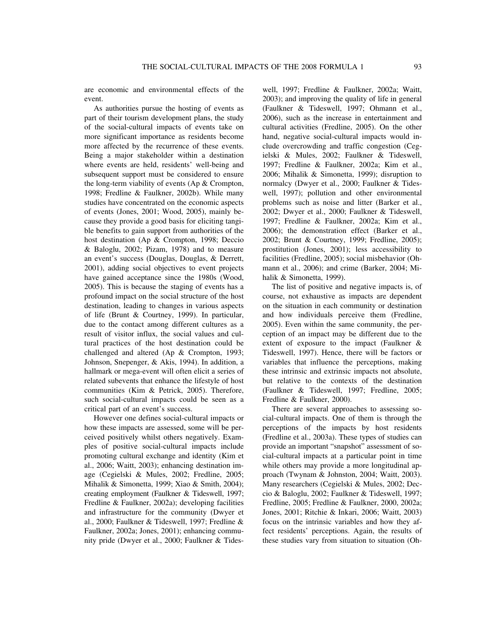are economic and environmental effects of the event.

As authorities pursue the hosting of events as part of their tourism development plans, the study of the social-cultural impacts of events take on more significant importance as residents become more affected by the recurrence of these events. Being a major stakeholder within a destination where events are held, residents' well-being and subsequent support must be considered to ensure the long-term viability of events (Ap & Crompton, 1998; Fredline & Faulkner, 2002b). While many studies have concentrated on the economic aspects of events (Jones, 2001; Wood, 2005), mainly because they provide a good basis for eliciting tangible benefits to gain support from authorities of the host destination (Ap & Crompton, 1998; Deccio & Baloglu, 2002; Pizam, 1978) and to measure an event's success (Douglas, Douglas, & Derrett, 2001), adding social objectives to event projects have gained acceptance since the 1980s (Wood, 2005). This is because the staging of events has a profound impact on the social structure of the host destination, leading to changes in various aspects of life (Brunt & Courtney, 1999). In particular, due to the contact among different cultures as a result of visitor influx, the social values and cultural practices of the host destination could be challenged and altered (Ap & Crompton, 1993; Johnson, Snepenger, & Akis, 1994). In addition, a hallmark or mega-event will often elicit a series of related subevents that enhance the lifestyle of host communities (Kim & Petrick, 2005). Therefore, such social-cultural impacts could be seen as a critical part of an event's success.

However one defines social-cultural impacts or how these impacts are assessed, some will be perceived positively whilst others negatively. Examples of positive social-cultural impacts include promoting cultural exchange and identity (Kim et al., 2006; Waitt, 2003); enhancing destination image (Cegielski & Mules, 2002; Fredline, 2005; Mihalik & Simonetta, 1999; Xiao & Smith, 2004); creating employment (Faulkner & Tideswell, 1997; Fredline & Faulkner, 2002a); developing facilities and infrastructure for the community (Dwyer et al., 2000: Faulkner & Tideswell, 1997: Fredline & Faulkner, 2002a; Jones, 2001); enhancing community pride (Dwyer et al., 2000; Faulkner & Tides-

well, 1997; Fredline & Faulkner, 2002a; Waitt, 2003); and improving the quality of life in general (Faulkner & Tideswell, 1997; Ohmann et al., 2006), such as the increase in entertainment and cultural activities (Fredline, 2005). On the other hand, negative social-cultural impacts would include overcrowding and traffic congestion (Cegielski & Mules, 2002: Faulkner & Tideswell, 1997: Fredline & Faulkner, 2002a: Kim et al., 2006; Mihalik & Simonetta, 1999); disruption to normalcy (Dwyer et al., 2000; Faulkner & Tideswell, 1997); pollution and other environmental problems such as noise and litter (Barker et al., 2002; Dwyer et al., 2000; Faulkner & Tideswell, 1997; Fredline & Faulkner, 2002a; Kim et al., 2006); the demonstration effect (Barker et al., 2002; Brunt & Courtney, 1999; Fredline, 2005); prostitution (Jones, 2001); less accessibility to facilities (Fredline, 2005); social misbehavior (Ohmann et al., 2006); and crime (Barker, 2004; Mihalik & Simonetta, 1999).

The list of positive and negative impacts is, of course, not exhaustive as impacts are dependent on the situation in each community or destination and how individuals perceive them (Fredline, 2005). Even within the same community, the perception of an impact may be different due to the extent of exposure to the impact (Faulkner  $\&$ Tideswell, 1997). Hence, there will be factors or variables that influence the perceptions, making these intrinsic and extrinsic impacts not absolute, but relative to the contexts of the destination (Faulkner & Tideswell, 1997; Fredline, 2005; Fredline & Faulkner, 2000).

There are several approaches to assessing social-cultural impacts. One of them is through the perceptions of the impacts by host residents (Fredline et al., 2003a). These types of studies can provide an important "snapshot" assessment of social-cultural impacts at a particular point in time while others may provide a more longitudinal approach (Twynam & Johnston, 2004; Waitt, 2003). Many researchers (Cegielski & Mules, 2002; Deccio & Baloglu, 2002; Faulkner & Tideswell, 1997; Fredline, 2005; Fredline & Faulkner, 2000, 2002a; Jones, 2001; Ritchie & Inkari, 2006; Waitt, 2003) focus on the intrinsic variables and how they affect residents' perceptions. Again, the results of these studies vary from situation to situation (Oh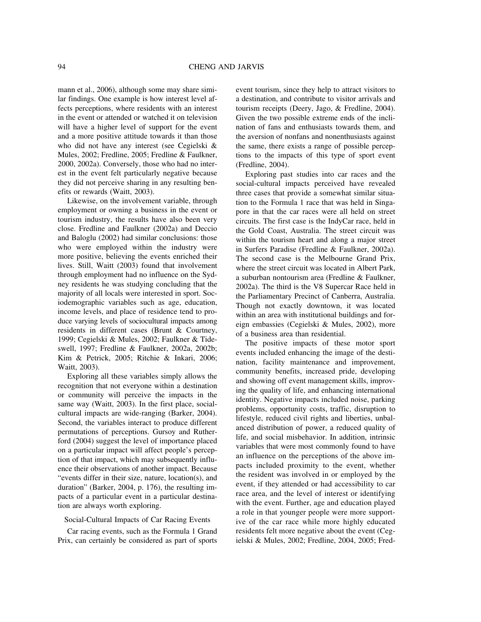mann et al., 2006), although some may share similar findings. One example is how interest level affects perceptions, where residents with an interest in the event or attended or watched it on television will have a higher level of support for the event and a more positive attitude towards it than those who did not have any interest (see Cegielski & Mules, 2002; Fredline, 2005; Fredline & Faulkner, 2000, 2002a). Conversely, those who had no interest in the event felt particularly negative because they did not perceive sharing in any resulting benefits or rewards (Waitt, 2003).

Likewise, on the involvement variable, through employment or owning a business in the event or tourism industry, the results have also been very close. Fredline and Faulkner (2002a) and Deccio and Baloglu (2002) had similar conclusions: those who were employed within the industry were more positive, believing the events enriched their lives. Still, Waitt (2003) found that involvement through employment had no influence on the Sydney residents he was studying concluding that the majority of all locals were interested in sport. Sociodemographic variables such as age, education, income levels, and place of residence tend to produce varying levels of sociocultural impacts among residents in different cases (Brunt & Courtney, 1999: Cegielski & Mules, 2002: Faulkner & Tideswell, 1997; Fredline & Faulkner, 2002a, 2002b; Kim & Petrick, 2005; Ritchie & Inkari, 2006; Waitt, 2003).

Exploring all these variables simply allows the recognition that not everyone within a destination or community will perceive the impacts in the same way (Waitt, 2003). In the first place, socialcultural impacts are wide-ranging (Barker, 2004). Second, the variables interact to produce different permutations of perceptions. Gursoy and Rutherford (2004) suggest the level of importance placed on a particular impact will affect people's perception of that impact, which may subsequently influence their observations of another impact. Because "events differ in their size, nature, location(s), and duration" (Barker, 2004, p. 176), the resulting impacts of a particular event in a particular destination are always worth exploring.

#### Social-Cultural Impacts of Car Racing Events

Car racing events, such as the Formula 1 Grand Prix, can certainly be considered as part of sports event tourism, since they help to attract visitors to a destination, and contribute to visitor arrivals and tourism receipts (Deery, Jago, & Fredline, 2004). Given the two possible extreme ends of the inclination of fans and enthusiasts towards them, and the aversion of nonfans and nonenthusiasts against the same, there exists a range of possible perceptions to the impacts of this type of sport event (Fredline, 2004).

Exploring past studies into car races and the social-cultural impacts perceived have revealed three cases that provide a somewhat similar situation to the Formula 1 race that was held in Singapore in that the car races were all held on street circuits. The first case is the IndyCar race, held in the Gold Coast, Australia. The street circuit was within the tourism heart and along a major street in Surfers Paradise (Fredline & Faulkner, 2002a). The second case is the Melbourne Grand Prix where the street circuit was located in Albert Park, a suburban nontourism area (Fredline & Faulkner, 2002a). The third is the V8 Supercar Race held in the Parliamentary Precinct of Canberra, Australia. Though not exactly downtown, it was located within an area with institutional buildings and foreign embassies (Cegielski & Mules, 2002), more of a business area than residential.

The positive impacts of these motor sport events included enhancing the image of the destination, facility maintenance and improvement, community benefits, increased pride, developing and showing off event management skills, improving the quality of life, and enhancing international identity. Negative impacts included noise, parking problems, opportunity costs, traffic, disruption to lifestyle, reduced civil rights and liberties, unbalanced distribution of power, a reduced quality of life, and social misbehavior. In addition, intrinsic variables that were most commonly found to have an influence on the perceptions of the above impacts included proximity to the event, whether the resident was involved in or employed by the event, if they attended or had accessibility to car race area, and the level of interest or identifying with the event. Further, age and education played a role in that younger people were more supportive of the car race while more highly educated residents felt more negative about the event (Cegielski & Mules, 2002; Fredline, 2004, 2005; Fred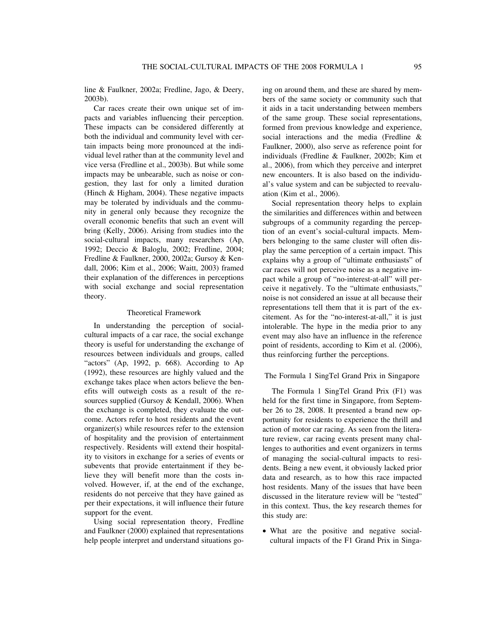line & Faulkner, 2002a; Fredline, Jago, & Deery,  $2003<sub>b</sub>$ ).

Car races create their own unique set of impacts and variables influencing their perception. These impacts can be considered differently at both the individual and community level with certain impacts being more pronounced at the individual level rather than at the community level and vice versa (Fredline et al., 2003b). But while some impacts may be unbearable, such as noise or congestion, they last for only a limited duration (Hinch & Higham, 2004). These negative impacts may be tolerated by individuals and the community in general only because they recognize the overall economic benefits that such an event will bring (Kelly, 2006). Arising from studies into the social-cultural impacts, many researchers (Ap, 1992; Deccio & Baloglu, 2002; Fredline, 2004; Fredline & Faulkner, 2000, 2002a; Gursoy & Kendall, 2006; Kim et al., 2006; Waitt, 2003) framed their explanation of the differences in perceptions with social exchange and social representation theory.

#### Theoretical Framework

In understanding the perception of socialcultural impacts of a car race, the social exchange theory is useful for understanding the exchange of resources between individuals and groups, called "actors" (Ap, 1992, p. 668). According to Ap  $(1992)$ , these resources are highly valued and the exchange takes place when actors believe the benefits will outweigh costs as a result of the resources supplied (Gursoy & Kendall, 2006). When the exchange is completed, they evaluate the outcome. Actors refer to host residents and the event organizer(s) while resources refer to the extension of hospitality and the provision of entertainment respectively. Residents will extend their hospitality to visitors in exchange for a series of events or subevents that provide entertainment if they believe they will benefit more than the costs involved. However, if, at the end of the exchange, residents do not perceive that they have gained as per their expectations, it will influence their future support for the event.

Using social representation theory, Fredline and Faulkner (2000) explained that representations help people interpret and understand situations go-

ing on around them, and these are shared by members of the same society or community such that it aids in a tacit understanding between members of the same group. These social representations, formed from previous knowledge and experience, social interactions and the media (Fredline  $\&$ Faulkner, 2000), also serve as reference point for individuals (Fredline & Faulkner, 2002b; Kim et al., 2006), from which they perceive and interpret new encounters. It is also based on the individual's value system and can be subjected to reevaluation (Kim et al.,  $2006$ ).

Social representation theory helps to explain the similarities and differences within and between subgroups of a community regarding the perception of an event's social-cultural impacts. Members belonging to the same cluster will often display the same perception of a certain impact. This explains why a group of "ultimate enthusiasts" of car races will not perceive noise as a negative impact while a group of "no-interest-at-all" will perceive it negatively. To the "ultimate enthusiasts." noise is not considered an issue at all because their representations tell them that it is part of the excitement. As for the "no-interest-at-all," it is just intolerable. The hype in the media prior to any event may also have an influence in the reference point of residents, according to Kim et al. (2006), thus reinforcing further the perceptions.

# The Formula 1 SingTel Grand Prix in Singapore

The Formula 1 SingTel Grand Prix (F1) was held for the first time in Singapore, from September 26 to 28, 2008. It presented a brand new opportunity for residents to experience the thrill and action of motor car racing. As seen from the literature review, car racing events present many challenges to authorities and event organizers in terms of managing the social-cultural impacts to residents. Being a new event, it obviously lacked prior data and research, as to how this race impacted host residents. Many of the issues that have been discussed in the literature review will be "tested" in this context. Thus, the key research themes for this study are:

• What are the positive and negative socialcultural impacts of the F1 Grand Prix in Singa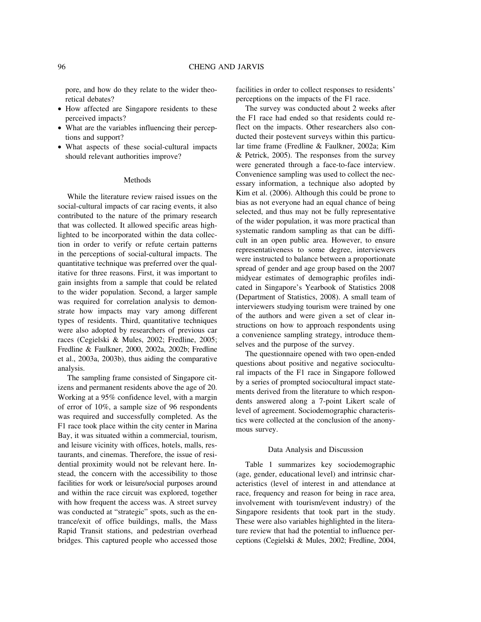pore, and how do they relate to the wider theoretical debates?

- How affected are Singapore residents to these perceived impacts?
- What are the variables influencing their perceptions and support?
- What aspects of these social-cultural impacts should relevant authorities improve?

### Methods

While the literature review raised issues on the social-cultural impacts of car racing events, it also contributed to the nature of the primary research that was collected. It allowed specific areas highlighted to be incorporated within the data collection in order to verify or refute certain patterns in the perceptions of social-cultural impacts. The quantitative technique was preferred over the qualitative for three reasons. First, it was important to gain insights from a sample that could be related to the wider population. Second, a larger sample was required for correlation analysis to demonstrate how impacts may vary among different types of residents. Third, quantitative techniques were also adopted by researchers of previous car races (Cegielski & Mules, 2002; Fredline, 2005; Fredline & Faulkner, 2000, 2002a, 2002b; Fredline et al., 2003a, 2003b), thus aiding the comparative analysis.

The sampling frame consisted of Singapore citizens and permanent residents above the age of 20. Working at a 95% confidence level, with a margin of error of 10%, a sample size of 96 respondents was required and successfully completed. As the F1 race took place within the city center in Marina Bay, it was situated within a commercial, tourism, and leisure vicinity with offices, hotels, malls, restaurants, and cinemas. Therefore, the issue of residential proximity would not be relevant here. Instead, the concern with the accessibility to those facilities for work or leisure/social purposes around and within the race circuit was explored, together with how frequent the access was. A street survey was conducted at "strategic" spots, such as the entrance/exit of office buildings, malls, the Mass Rapid Transit stations, and pedestrian overhead bridges. This captured people who accessed those facilities in order to collect responses to residents' perceptions on the impacts of the F1 race.

The survey was conducted about 2 weeks after the F1 race had ended so that residents could reflect on the impacts. Other researchers also conducted their postevent surveys within this particular time frame (Fredline & Faulkner, 2002a; Kim & Petrick, 2005). The responses from the survey were generated through a face-to-face interview. Convenience sampling was used to collect the necessary information, a technique also adopted by Kim et al. (2006). Although this could be prone to bias as not everyone had an equal chance of being selected, and thus may not be fully representative of the wider population, it was more practical than systematic random sampling as that can be difficult in an open public area. However, to ensure representativeness to some degree, interviewers were instructed to balance between a proportionate spread of gender and age group based on the 2007 midyear estimates of demographic profiles indicated in Singapore's Yearbook of Statistics 2008 (Department of Statistics, 2008). A small team of interviewers studying tourism were trained by one of the authors and were given a set of clear instructions on how to approach respondents using a convenience sampling strategy, introduce themselves and the purpose of the survey.

The questionnaire opened with two open-ended questions about positive and negative sociocultural impacts of the F1 race in Singapore followed by a series of prompted sociocultural impact statements derived from the literature to which respondents answered along a 7-point Likert scale of level of agreement. Sociodemographic characteristics were collected at the conclusion of the anonymous survey.

## Data Analysis and Discussion

Table 1 summarizes key sociodemographic (age, gender, educational level) and intrinsic characteristics (level of interest in and attendance at race, frequency and reason for being in race area, involvement with tourism/event industry) of the Singapore residents that took part in the study. These were also variables highlighted in the literature review that had the potential to influence perceptions (Cegielski & Mules, 2002; Fredline, 2004,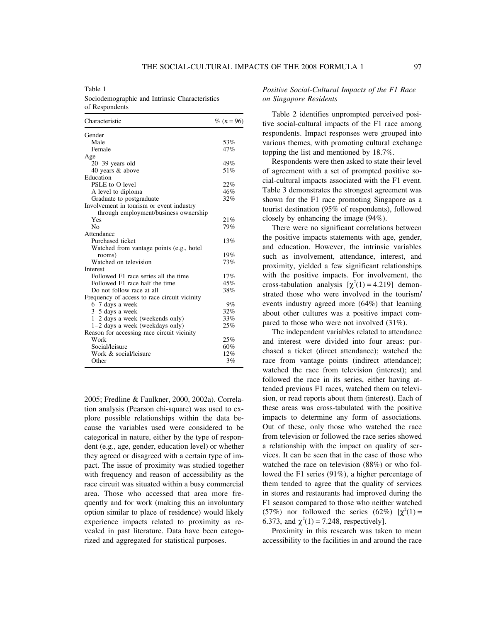Table 1 Sociodemographic and Intrinsic Characteristics of Respondents

| Characteristic                               | % $(n = 96)$ |
|----------------------------------------------|--------------|
| Gender                                       |              |
| Male                                         | 53%          |
| Female                                       | 47%          |
| Age                                          |              |
| $20-39$ years old                            | 49%          |
| 40 years & above                             | 51%          |
| Education                                    |              |
| PSLE to O level                              | 22%          |
| A level to diploma                           | 46%          |
| Graduate to postgraduate                     | 32%          |
| Involvement in tourism or event industry     |              |
| through employment/business ownership        |              |
| Yes                                          | 21%          |
| No                                           | 79%          |
| Attendance                                   |              |
| Purchased ticket                             | 13%          |
| Watched from vantage points (e.g., hotel     |              |
| rooms)                                       | 19%          |
| Watched on television                        | 73%          |
| <b>Interest</b>                              |              |
| Followed F1 race series all the time         | 17%          |
| Followed F1 race half the time               | 45%          |
| Do not follow race at all                    | 38%          |
| Frequency of access to race circuit vicinity |              |
| 6-7 days a week                              | 9%           |
| 3-5 days a week                              | 32%          |
| $1-2$ days a week (weekends only)            | 33%          |
| 1–2 days a week (weekdays only)              | 25%          |
| Reason for accessing race circuit vicinity   |              |
| Work                                         | 25%          |
| Social/leisure                               | 60%          |
| Work & social/leisure                        | 12%          |
| Other                                        | 3%           |

2005; Fredline & Faulkner, 2000, 2002a). Correlation analysis (Pearson chi-square) was used to explore possible relationships within the data because the variables used were considered to be categorical in nature, either by the type of respondent (e.g., age, gender, education level) or whether they agreed or disagreed with a certain type of impact. The issue of proximity was studied together with frequency and reason of accessibility as the race circuit was situated within a busy commercial area. Those who accessed that area more frequently and for work (making this an involuntary option similar to place of residence) would likely experience impacts related to proximity as revealed in past literature. Data have been categorized and aggregated for statistical purposes.

# Positive Social-Cultural Impacts of the F1 Race on Singapore Residents

Table 2 identifies unprompted perceived positive social-cultural impacts of the F1 race among respondents. Impact responses were grouped into various themes, with promoting cultural exchange topping the list and mentioned by  $18.7\%$ .

Respondents were then asked to state their level of agreement with a set of prompted positive social-cultural impacts associated with the F1 event. Table 3 demonstrates the strongest agreement was shown for the F1 race promoting Singapore as a tourist destination (95% of respondents), followed closely by enhancing the image  $(94\%)$ .

There were no significant correlations between the positive impacts statements with age, gender, and education. However, the intrinsic variables such as involvement, attendance, interest, and proximity, yielded a few significant relationships with the positive impacts. For involvement, the cross-tabulation analysis  $[\chi^2(1) = 4.219]$  demonstrated those who were involved in the tourism/ events industry agreed more  $(64%)$  that learning about other cultures was a positive impact compared to those who were not involved  $(31\%)$ .

The independent variables related to attendance and interest were divided into four areas: purchased a ticket (direct attendance); watched the race from vantage points (indirect attendance); watched the race from television (interest); and followed the race in its series, either having attended previous F1 races, watched them on television, or read reports about them (interest). Each of these areas was cross-tabulated with the positive impacts to determine any form of associations. Out of these, only those who watched the race from television or followed the race series showed a relationship with the impact on quality of services. It can be seen that in the case of those who watched the race on television  $(88%)$  or who followed the F1 series (91%), a higher percentage of them tended to agree that the quality of services in stores and restaurants had improved during the F1 season compared to those who neither watched (57%) nor followed the series (62%)  $[\chi^2(1)$  = 6.373, and  $\chi^2(1) = 7.248$ , respectively].

Proximity in this research was taken to mean accessibility to the facilities in and around the race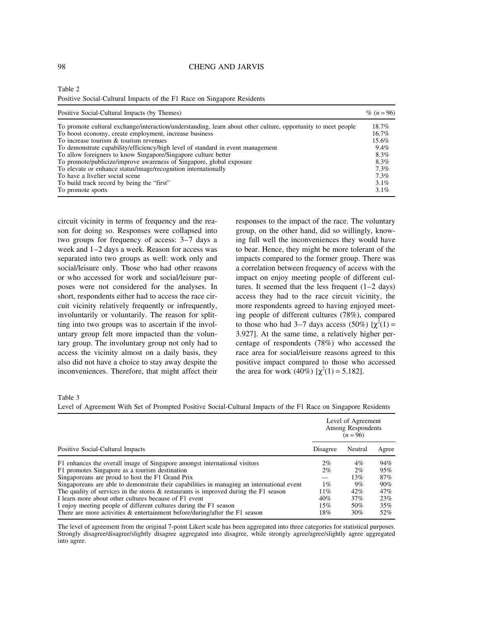| Table 2                                                                |  |
|------------------------------------------------------------------------|--|
| Positive Social-Cultural Impacts of the F1 Race on Singapore Residents |  |

| Positive Social-Cultural Impacts (by Themes)                                                                  |          |
|---------------------------------------------------------------------------------------------------------------|----------|
| To promote cultural exchange/interaction/understanding, learn about other culture, opportunity to meet people | 18.7%    |
| To boost economy, create employment, increase business                                                        | $16.7\%$ |
| To increase tourism & tourism revenues                                                                        | 15.6%    |
| To demonstrate capability/efficiency/high level of standard in event management                               | 9.4%     |
| To allow foreigners to know Singapore/Singapore culture better                                                | 8.3%     |
| To promote/publicize/improve awareness of Singapore, global exposure                                          | 8.3%     |
| To elevate or enhance status/image/recognition internationally                                                | $7.3\%$  |
| To have a livelier social scene                                                                               | $7.3\%$  |
| To build track record by being the "first"                                                                    | $3.1\%$  |
| To promote sports                                                                                             | 3.1%     |

circuit vicinity in terms of frequency and the reason for doing so. Responses were collapsed into two groups for frequency of access:  $3-7$  days a week and 1-2 days a week. Reason for access was separated into two groups as well: work only and social/leisure only. Those who had other reasons or who accessed for work and social/leisure purposes were not considered for the analyses. In short, respondents either had to access the race circuit vicinity relatively frequently or infrequently, involuntarily or voluntarily. The reason for splitting into two groups was to ascertain if the involuntary group felt more impacted than the voluntary group. The involuntary group not only had to access the vicinity almost on a daily basis, they also did not have a choice to stay away despite the inconveniences. Therefore, that might affect their responses to the impact of the race. The voluntary group, on the other hand, did so willingly, knowing full well the inconveniences they would have to bear. Hence, they might be more tolerant of the impacts compared to the former group. There was a correlation between frequency of access with the impact on enjoy meeting people of different cultures. It seemed that the less frequent  $(1-2 \text{ days})$ access they had to the race circuit vicinity, the more respondents agreed to having enjoyed meeting people of different cultures  $(78\%)$ , compared to those who had 3–7 days access (50%)  $[\chi^2(1)$  =  $3.927$ ]. At the same time, a relatively higher percentage of respondents (78%) who accessed the race area for social/leisure reasons agreed to this positive impact compared to those who accessed the area for work (40%)  $[\chi^2(1) = 5.182]$ .

Table 3

|  |  | Level of Agreement With Set of Prompted Positive Social-Cultural Impacts of the F1 Race on Singapore Residents |  |
|--|--|----------------------------------------------------------------------------------------------------------------|--|
|--|--|----------------------------------------------------------------------------------------------------------------|--|

|                                                                                            |          | Level of Agreement<br>Among Respondents<br>$(n = 96)$ |       |  |
|--------------------------------------------------------------------------------------------|----------|-------------------------------------------------------|-------|--|
| Positive Social-Cultural Impacts                                                           | Disagree | Neutral                                               | Agree |  |
| F1 enhances the overall image of Singapore amongst international visitors                  | $2\%$    | $4\%$                                                 | 94%   |  |
| F1 promotes Singapore as a tourism destination                                             | $2\%$    | 2%                                                    | 95%   |  |
| Singaporeans are proud to host the F1 Grand Prix                                           |          | 13%                                                   | 87%   |  |
| Singaporeans are able to demonstrate their capabilities in managing an international event | $1\%$    | $9\%$                                                 | 90%   |  |
| The quality of services in the stores & restaurants is improved during the F1 season       | $11\%$   | 42%                                                   | 47%   |  |
| I learn more about other cultures because of F1 event                                      | 40%      | 37%                                                   | 23%   |  |
| I enjoy meeting people of different cultures during the F1 season                          | 15%      | 50%                                                   | 35%   |  |
| There are more activities & entertainment before/during/after the F1 season                | 18%      | 30%                                                   | 52%   |  |

The level of agreement from the original 7-point Likert scale has been aggregated into three categories for statistical purposes. Strongly disagree/disagree/slightly disagree aggregated into disagree, while strongly agree/agree/slightly agree aggregated into agree.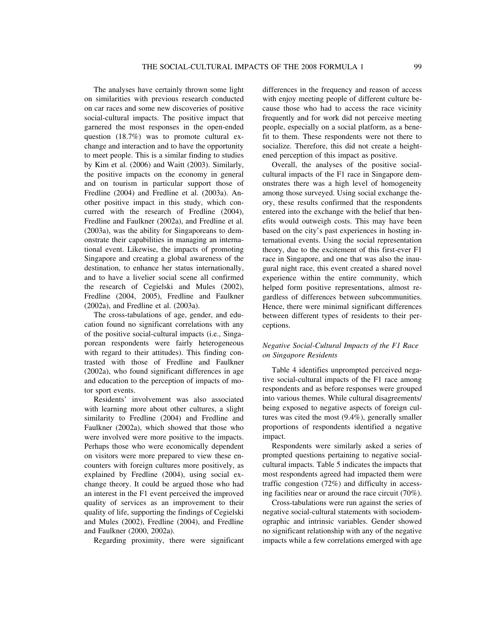The analyses have certainly thrown some light on similarities with previous research conducted on car races and some new discoveries of positive social-cultural impacts. The positive impact that garnered the most responses in the open-ended question  $(18.7%)$  was to promote cultural exchange and interaction and to have the opportunity to meet people. This is a similar finding to studies by Kim et al. (2006) and Waitt (2003). Similarly, the positive impacts on the economy in general and on tourism in particular support those of Fredline (2004) and Fredline et al. (2003a). Another positive impact in this study, which concurred with the research of Fredline (2004), Fredline and Faulkner (2002a), and Fredline et al. (2003a), was the ability for Singaporeans to demonstrate their capabilities in managing an international event. Likewise, the impacts of promoting Singapore and creating a global awareness of the destination, to enhance her status internationally, and to have a livelier social scene all confirmed the research of Cegielski and Mules (2002), Fredline (2004, 2005), Fredline and Faulkner  $(2002a)$ , and Fredline et al.  $(2003a)$ .

The cross-tabulations of age, gender, and education found no significant correlations with any of the positive social-cultural impacts (i.e., Singaporean respondents were fairly heterogeneous with regard to their attitudes). This finding contrasted with those of Fredline and Faulkner (2002a), who found significant differences in age and education to the perception of impacts of motor sport events.

Residents' involvement was also associated with learning more about other cultures, a slight similarity to Fredline (2004) and Fredline and Faulkner (2002a), which showed that those who were involved were more positive to the impacts. Perhaps those who were economically dependent on visitors were more prepared to view these encounters with foreign cultures more positively, as explained by Fredline (2004), using social exchange theory. It could be argued those who had an interest in the F1 event perceived the improved quality of services as an improvement to their quality of life, supporting the findings of Cegielski and Mules (2002). Fredline (2004), and Fredline and Faulkner (2000, 2002a).

Regarding proximity, there were significant

differences in the frequency and reason of access with enjoy meeting people of different culture because those who had to access the race vicinity frequently and for work did not perceive meeting people, especially on a social platform, as a benefit to them. These respondents were not there to socialize. Therefore, this did not create a heightened perception of this impact as positive.

Overall, the analyses of the positive socialcultural impacts of the F1 race in Singapore demonstrates there was a high level of homogeneity among those surveyed. Using social exchange theory, these results confirmed that the respondents entered into the exchange with the belief that benefits would outweigh costs. This may have been based on the city's past experiences in hosting international events. Using the social representation theory, due to the excitement of this first-ever F1 race in Singapore, and one that was also the inaugural night race, this event created a shared novel experience within the entire community, which helped form positive representations, almost regardless of differences between subcommunities. Hence, there were minimal significant differences between different types of residents to their perceptions.

# Negative Social-Cultural Impacts of the F1 Race on Singapore Residents

Table 4 identifies unprompted perceived negative social-cultural impacts of the F1 race among respondents and as before responses were grouped into various themes. While cultural disagreements/ being exposed to negative aspects of foreign cultures was cited the most  $(9.4\%)$ , generally smaller proportions of respondents identified a negative impact.

Respondents were similarly asked a series of prompted questions pertaining to negative socialcultural impacts. Table 5 indicates the impacts that most respondents agreed had impacted them were traffic congestion (72%) and difficulty in accessing facilities near or around the race circuit  $(70\%)$ .

Cross-tabulations were run against the series of negative social-cultural statements with sociodemographic and intrinsic variables. Gender showed no significant relationship with any of the negative impacts while a few correlations emerged with age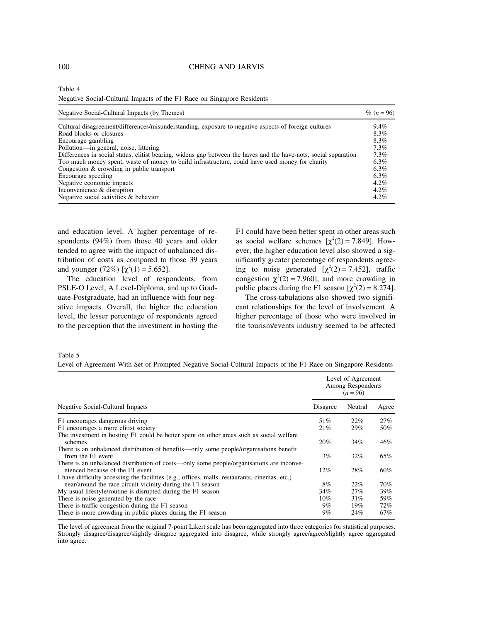| Table 4 |                                                                        |
|---------|------------------------------------------------------------------------|
|         | Negative Social-Cultural Impacts of the F1 Race on Singapore Residents |

| Negative Social-Cultural Impacts (by Themes)                                                                     |         |
|------------------------------------------------------------------------------------------------------------------|---------|
| Cultural disagreement/differences/misunderstanding, exposure to negative aspects of foreign cultures             | $9.4\%$ |
| Road blocks or closures                                                                                          | 8.3%    |
| Encourage gambling                                                                                               | 8.3%    |
| Pollution—in general, noise, littering                                                                           | $7.3\%$ |
| Differences in social status, elitist bearing, widens gap between the haves and the have-nots, social separation | $7.3\%$ |
| Too much money spent, waste of money to build infrastructure, could have used money for charity                  | $6.3\%$ |
| Congestion & crowding in public transport                                                                        | $6.3\%$ |
| Encourage speeding                                                                                               | $6.3\%$ |
| Negative economic impacts                                                                                        | $4.2\%$ |
| Inconvenience & disruption                                                                                       | $4.2\%$ |
| Negative social activities & behavior                                                                            | $4.2\%$ |

and education level. A higher percentage of respondents  $(94\%)$  from those 40 years and older tended to agree with the impact of unbalanced distribution of costs as compared to those 39 years and younger (72%)  $[\chi^2(1) = 5.652]$ .

The education level of respondents, from PSLE-O Level, A Level-Diploma, and up to Graduate-Postgraduate, had an influence with four negative impacts. Overall, the higher the education level, the lesser percentage of respondents agreed to the perception that the investment in hosting the F1 could have been better spent in other areas such as social welfare schemes  $[\gamma^2(2) = 7.849]$ . However, the higher education level also showed a significantly greater percentage of respondents agreeing to noise generated  $[\chi^2(2) = 7.452]$ , traffic congestion  $\chi^2(2) = 7.960$ , and more crowding in public places during the F1 season  $\lceil \gamma^2(2) \rceil = 8.274$ .

The cross-tabulations also showed two significant relationships for the level of involvement. A higher percentage of those who were involved in the tourism/events industry seemed to be affected

Table 5

Level of Agreement With Set of Prompted Negative Social-Cultural Impacts of the F1 Race on Singapore Residents

|                                                                                                                                                             |          | Level of Agreement<br>Among Respondents<br>$(n = 96)$ |       |  |
|-------------------------------------------------------------------------------------------------------------------------------------------------------------|----------|-------------------------------------------------------|-------|--|
| Negative Social-Cultural Impacts                                                                                                                            | Disagree | Neutral                                               | Agree |  |
| F1 encourages dangerous driving                                                                                                                             | 51%      | 22%                                                   | 27%   |  |
| F1 encourages a more elitist society                                                                                                                        | 21%      | 29%                                                   | 50%   |  |
| The investment in hosting F1 could be better spent on other areas such as social welfare<br>schemes                                                         | 20%      | 34%                                                   | 46%   |  |
| There is an unbalanced distribution of benefits—only some people/organisations benefit<br>from the F1 event                                                 | $3\%$    | 32%                                                   | 65%   |  |
| There is an unbalanced distribution of costs—only some people/organisations are inconve-<br>nienced because of the F1 event                                 | 12%      | 28%                                                   | 60%   |  |
| I have difficulty accessing the facilities (e.g., offices, malls, restaurants, cinemas, etc.)<br>near/around the race circuit vicinity during the F1 season | 8%       | 22%                                                   | 70%   |  |
| My usual lifestyle/routine is disrupted during the F1 season                                                                                                | 34%      | 27%                                                   | 39%   |  |
| There is noise generated by the race                                                                                                                        | 10%      | 31%                                                   | 59%   |  |
| There is traffic congestion during the F1 season                                                                                                            | $9\%$    | 19%                                                   | 72%   |  |
| There is more crowding in public places during the F1 season                                                                                                | $9\%$    | 24%                                                   | 67%   |  |

The level of agreement from the original 7-point Likert scale has been aggregated into three categories for statistical purposes. Strongly disagree/disagree/slightly disagree aggregated into disagree, while strongly agree/agree/slightly agree aggregated into agree.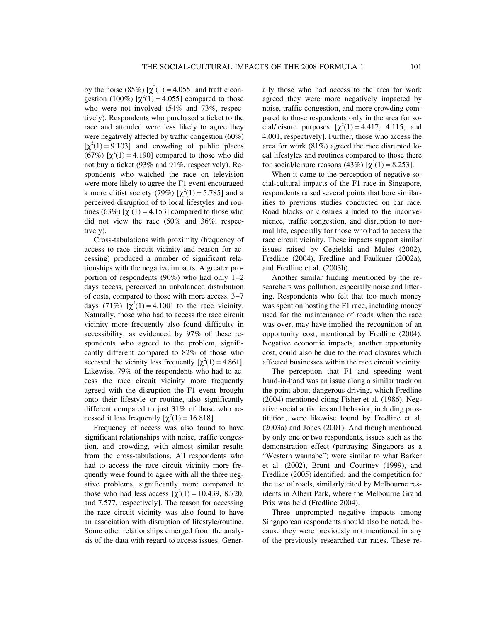by the noise (85%)  $[\chi^2(1) = 4.055]$  and traffic congestion (100%)  $[\chi^2(1) = 4.055]$  compared to those who were not involved  $(54\%$  and  $73\%$ , respectively). Respondents who purchased a ticket to the race and attended were less likely to agree they were negatively affected by traffic congestion (60%)  $[\chi^2(1) = 9.103]$  and crowding of public places  $(67%) [\chi^2(1) = 4.190]$  compared to those who did not buy a ticket (93% and 91%, respectively). Respondents who watched the race on television were more likely to agree the F1 event encouraged a more elitist society (79%)  $[\chi^2(1) = 5.785]$  and a perceived disruption of to local lifestyles and routines (63%)  $[\chi^2(1) = 4.153]$  compared to those who did not view the race  $(50\%$  and  $36\%$ , respectively).

Cross-tabulations with proximity (frequency of access to race circuit vicinity and reason for accessing) produced a number of significant relationships with the negative impacts. A greater proportion of respondents  $(90\%)$  who had only 1-2 days access, perceived an unbalanced distribution of costs, compared to those with more access, 3–7 days (71%)  $[\chi^2(1) = 4.100]$  to the race vicinity. Naturally, those who had to access the race circuit vicinity more frequently also found difficulty in accessibility, as evidenced by 97% of these respondents who agreed to the problem, significantly different compared to 82% of those who accessed the vicinity less frequently  $[\chi^2(1) = 4.861]$ . Likewise, 79% of the respondents who had to access the race circuit vicinity more frequently agreed with the disruption the F1 event brought onto their lifestyle or routine, also significantly different compared to just 31% of those who accessed it less frequently  $[\chi^2(1) = 16.818]$ .

Frequency of access was also found to have significant relationships with noise, traffic congestion, and crowding, with almost similar results from the cross-tabulations. All respondents who had to access the race circuit vicinity more frequently were found to agree with all the three negative problems, significantly more compared to those who had less access  $[\chi^2(1) = 10.439, 8.720,$ and 7.577, respectively]. The reason for accessing the race circuit vicinity was also found to have an association with disruption of lifestyle/routine. Some other relationships emerged from the analysis of the data with regard to access issues. Gener-

ally those who had access to the area for work agreed they were more negatively impacted by noise, traffic congestion, and more crowding compared to those respondents only in the area for social/leisure purposes  $[\chi^2(1) = 4.417, 4.115,$  and 4.001, respectively]. Further, those who access the area for work  $(81\%)$  agreed the race disrupted local lifestyles and routines compared to those there for social/leisure reasons (43%)  $[\chi^2(1) = 8.253]$ .

When it came to the perception of negative social-cultural impacts of the F1 race in Singapore, respondents raised several points that bore similarities to previous studies conducted on car race. Road blocks or closures alluded to the inconvenience, traffic congestion, and disruption to normal life, especially for those who had to access the race circuit vicinity. These impacts support similar issues raised by Cegielski and Mules (2002), Fredline (2004), Fredline and Faulkner (2002a), and Fredline et al. (2003b).

Another similar finding mentioned by the researchers was pollution, especially noise and littering. Respondents who felt that too much money was spent on hosting the F1 race, including money used for the maintenance of roads when the race was over, may have implied the recognition of an opportunity cost, mentioned by Fredline (2004). Negative economic impacts, another opportunity cost, could also be due to the road closures which affected businesses within the race circuit vicinity.

The perception that F1 and speeding went hand-in-hand was an issue along a similar track on the point about dangerous driving, which Fredline (2004) mentioned citing Fisher et al. (1986). Negative social activities and behavior, including prostitution, were likewise found by Fredline et al. (2003a) and Jones (2001). And though mentioned by only one or two respondents, issues such as the demonstration effect (portraying Singapore as a "Western wannabe") were similar to what Barker et al. (2002), Brunt and Courtney (1999), and Fredline (2005) identified; and the competition for the use of roads, similarly cited by Melbourne residents in Albert Park, where the Melbourne Grand Prix was held (Fredline 2004).

Three unprompted negative impacts among Singaporean respondents should also be noted, because they were previously not mentioned in any of the previously researched car races. These re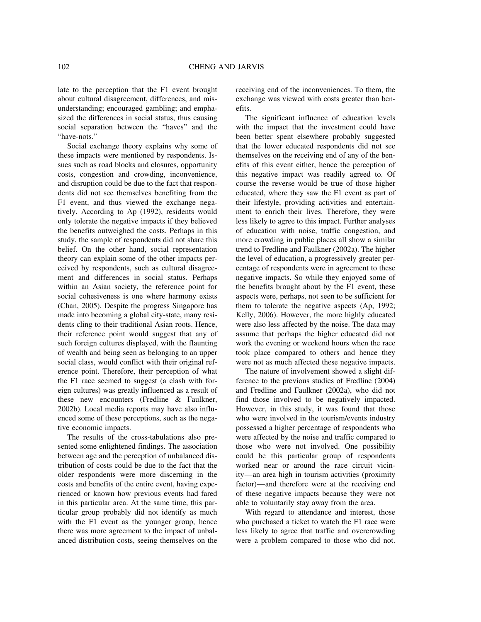late to the perception that the F1 event brought about cultural disagreement, differences, and misunderstanding; encouraged gambling; and emphasized the differences in social status, thus causing social separation between the "haves" and the "have-nots"

Social exchange theory explains why some of these impacts were mentioned by respondents. Issues such as road blocks and closures, opportunity costs, congestion and crowding, inconvenience, and disruption could be due to the fact that respondents did not see themselves benefiting from the F1 event, and thus viewed the exchange negatively. According to Ap (1992), residents would only tolerate the negative impacts if they believed the benefits outweighed the costs. Perhaps in this study, the sample of respondents did not share this belief. On the other hand, social representation theory can explain some of the other impacts perceived by respondents, such as cultural disagreement and differences in social status. Perhaps within an Asian society, the reference point for social cohesiveness is one where harmony exists (Chan, 2005). Despite the progress Singapore has made into becoming a global city-state, many residents cling to their traditional Asian roots. Hence, their reference point would suggest that any of such foreign cultures displayed, with the flaunting of wealth and being seen as belonging to an upper social class, would conflict with their original reference point. Therefore, their perception of what the F1 race seemed to suggest (a clash with foreign cultures) was greatly influenced as a result of these new encounters (Fredline & Faulkner, 2002b). Local media reports may have also influenced some of these perceptions, such as the negative economic impacts.

The results of the cross-tabulations also presented some enlightened findings. The association between age and the perception of unbalanced distribution of costs could be due to the fact that the older respondents were more discerning in the costs and benefits of the entire event, having experienced or known how previous events had fared in this particular area. At the same time, this particular group probably did not identify as much with the F1 event as the younger group, hence there was more agreement to the impact of unbalanced distribution costs, seeing themselves on the receiving end of the inconveniences. To them, the exchange was viewed with costs greater than benefits

The significant influence of education levels with the impact that the investment could have been better spent elsewhere probably suggested that the lower educated respondents did not see themselves on the receiving end of any of the benefits of this event either, hence the perception of this negative impact was readily agreed to. Of course the reverse would be true of those higher educated, where they saw the F1 event as part of their lifestyle, providing activities and entertainment to enrich their lives. Therefore, they were less likely to agree to this impact. Further analyses of education with noise, traffic congestion, and more crowding in public places all show a similar trend to Fredline and Faulkner (2002a). The higher the level of education, a progressively greater percentage of respondents were in agreement to these negative impacts. So while they enjoyed some of the benefits brought about by the F1 event, these aspects were, perhaps, not seen to be sufficient for them to tolerate the negative aspects (Ap. 1992; Kelly, 2006). However, the more highly educated were also less affected by the noise. The data may assume that perhaps the higher educated did not work the evening or weekend hours when the race took place compared to others and hence they were not as much affected these negative impacts.

The nature of involvement showed a slight difference to the previous studies of Fredline (2004) and Fredline and Faulkner (2002a), who did not find those involved to be negatively impacted. However, in this study, it was found that those who were involved in the tourism/events industry possessed a higher percentage of respondents who were affected by the noise and traffic compared to those who were not involved. One possibility could be this particular group of respondents worked near or around the race circuit vicinity—an area high in tourism activities (proximity factor)-and therefore were at the receiving end of these negative impacts because they were not able to voluntarily stay away from the area.

With regard to attendance and interest, those who purchased a ticket to watch the F1 race were less likely to agree that traffic and overcrowding were a problem compared to those who did not.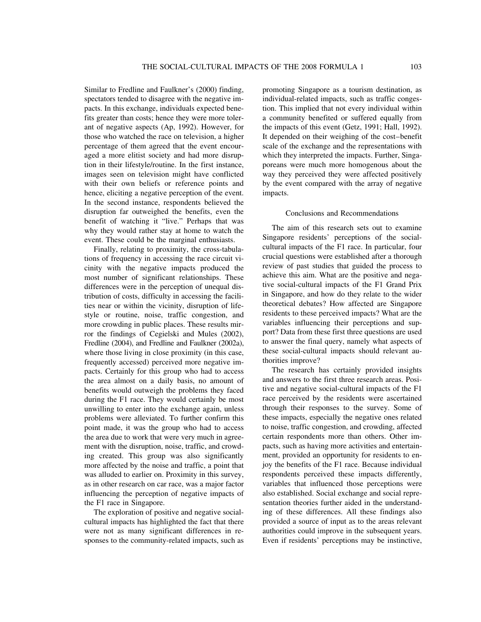Similar to Fredline and Faulkner's (2000) finding, spectators tended to disagree with the negative impacts. In this exchange, individuals expected benefits greater than costs; hence they were more tolerant of negative aspects (Ap, 1992). However, for those who watched the race on television, a higher percentage of them agreed that the event encouraged a more elitist society and had more disruption in their lifestyle/routine. In the first instance, images seen on television might have conflicted with their own beliefs or reference points and hence, eliciting a negative perception of the event. In the second instance, respondents believed the disruption far outweighed the benefits, even the benefit of watching it "live." Perhaps that was why they would rather stay at home to watch the event. These could be the marginal enthusiasts.

Finally, relating to proximity, the cross-tabulations of frequency in accessing the race circuit vicinity with the negative impacts produced the most number of significant relationships. These differences were in the perception of unequal distribution of costs, difficulty in accessing the facilities near or within the vicinity, disruption of lifestyle or routine, noise, traffic congestion, and more crowding in public places. These results mirror the findings of Cegielski and Mules (2002), Fredline (2004), and Fredline and Faulkner (2002a), where those living in close proximity (in this case, frequently accessed) perceived more negative impacts. Certainly for this group who had to access the area almost on a daily basis, no amount of benefits would outweigh the problems they faced during the F1 race. They would certainly be most unwilling to enter into the exchange again, unless problems were alleviated. To further confirm this point made, it was the group who had to access the area due to work that were very much in agreement with the disruption, noise, traffic, and crowding created. This group was also significantly more affected by the noise and traffic, a point that was alluded to earlier on. Proximity in this survey, as in other research on car race, was a major factor influencing the perception of negative impacts of the F1 race in Singapore.

The exploration of positive and negative socialcultural impacts has highlighted the fact that there were not as many significant differences in responses to the community-related impacts, such as promoting Singapore as a tourism destination, as individual-related impacts, such as traffic congestion. This implied that not every individual within a community benefited or suffered equally from the impacts of this event (Getz, 1991; Hall, 1992). It depended on their weighing of the cost-benefit scale of the exchange and the representations with which they interpreted the impacts. Further, Singaporeans were much more homogenous about the way they perceived they were affected positively by the event compared with the array of negative impacts.

#### Conclusions and Recommendations

The aim of this research sets out to examine Singapore residents' perceptions of the socialcultural impacts of the F1 race. In particular, four crucial questions were established after a thorough review of past studies that guided the process to achieve this aim. What are the positive and negative social-cultural impacts of the F1 Grand Prix in Singapore, and how do they relate to the wider theoretical debates? How affected are Singapore residents to these perceived impacts? What are the variables influencing their perceptions and support? Data from these first three questions are used to answer the final query, namely what aspects of these social-cultural impacts should relevant authorities improve?

The research has certainly provided insights and answers to the first three research areas. Positive and negative social-cultural impacts of the F1 race perceived by the residents were ascertained through their responses to the survey. Some of these impacts, especially the negative ones related to noise, traffic congestion, and crowding, affected certain respondents more than others. Other impacts, such as having more activities and entertainment, provided an opportunity for residents to enjoy the benefits of the F1 race. Because individual respondents perceived these impacts differently, variables that influenced those perceptions were also established. Social exchange and social representation theories further aided in the understanding of these differences. All these findings also provided a source of input as to the areas relevant authorities could improve in the subsequent years. Even if residents' perceptions may be instinctive,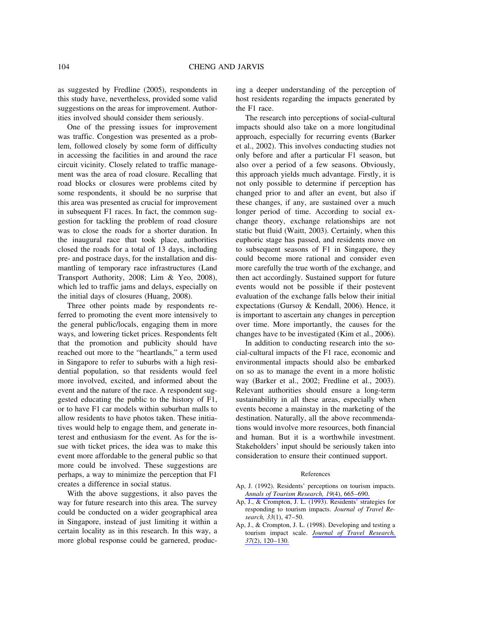as suggested by Fredline (2005), respondents in this study have, nevertheless, provided some valid suggestions on the areas for improvement. Authorities involved should consider them seriously.

One of the pressing issues for improvement was traffic. Congestion was presented as a problem, followed closely by some form of difficulty in accessing the facilities in and around the race circuit vicinity. Closely related to traffic management was the area of road closure. Recalling that road blocks or closures were problems cited by some respondents, it should be no surprise that this area was presented as crucial for improvement in subsequent F1 races. In fact, the common suggestion for tackling the problem of road closure was to close the roads for a shorter duration. In the inaugural race that took place, authorities closed the roads for a total of 13 days, including pre- and postrace days, for the installation and dismantling of temporary race infrastructures (Land Transport Authority, 2008; Lim & Yeo, 2008), which led to traffic jams and delays, especially on the initial days of closures (Huang, 2008).

Three other points made by respondents referred to promoting the event more intensively to the general public/locals, engaging them in more ways, and lowering ticket prices. Respondents felt that the promotion and publicity should have reached out more to the "heartlands," a term used in Singapore to refer to suburbs with a high residential population, so that residents would feel more involved, excited, and informed about the event and the nature of the race. A respondent suggested educating the public to the history of F1, or to have F1 car models within suburban malls to allow residents to have photos taken. These initiatives would help to engage them, and generate interest and enthusiasm for the event. As for the issue with ticket prices, the idea was to make this event more affordable to the general public so that more could be involved. These suggestions are perhaps, a way to minimize the perception that F1 creates a difference in social status.

With the above suggestions, it also paves the way for future research into this area. The survey could be conducted on a wider geographical area in Singapore, instead of just limiting it within a certain locality as in this research. In this way, a more global response could be garnered, producing a deeper understanding of the perception of host residents regarding the impacts generated by the F1 race

The research into perceptions of social-cultural impacts should also take on a more longitudinal approach, especially for recurring events (Barker et al., 2002). This involves conducting studies not only before and after a particular F1 season, but also over a period of a few seasons. Obviously, this approach yields much advantage. Firstly, it is not only possible to determine if perception has changed prior to and after an event, but also if these changes, if any, are sustained over a much longer period of time. According to social exchange theory, exchange relationships are not static but fluid (Waitt, 2003). Certainly, when this euphoric stage has passed, and residents move on to subsequent seasons of F1 in Singapore, they could become more rational and consider even more carefully the true worth of the exchange, and then act accordingly. Sustained support for future events would not be possible if their postevent evaluation of the exchange falls below their initial expectations (Gursoy & Kendall, 2006). Hence, it is important to ascertain any changes in perception over time. More importantly, the causes for the changes have to be investigated (Kim et al., 2006).

In addition to conducting research into the social-cultural impacts of the F1 race, economic and environmental impacts should also be embarked on so as to manage the event in a more holistic way (Barker et al., 2002; Fredline et al., 2003). Relevant authorities should ensure a long-term sustainability in all these areas, especially when events become a mainstay in the marketing of the destination. Naturally, all the above recommendations would involve more resources, both financial and human. But it is a worthwhile investment. Stakeholders' input should be seriously taken into consideration to ensure their continued support.

#### References

- Ap, J. (1992). Residents' perceptions on tourism impacts. Annals of Tourism Research, 19(4), 665-690.
- Ap, J., & Crompton, J. L. (1993). Residents' strategies for responding to tourism impacts. Journal of Travel Research, 33(1), 47-50.
- Ap, J., & Crompton, J. L. (1998). Developing and testing a tourism impact scale. Journal of Travel Research,  $37(2)$ ,  $120-130$ .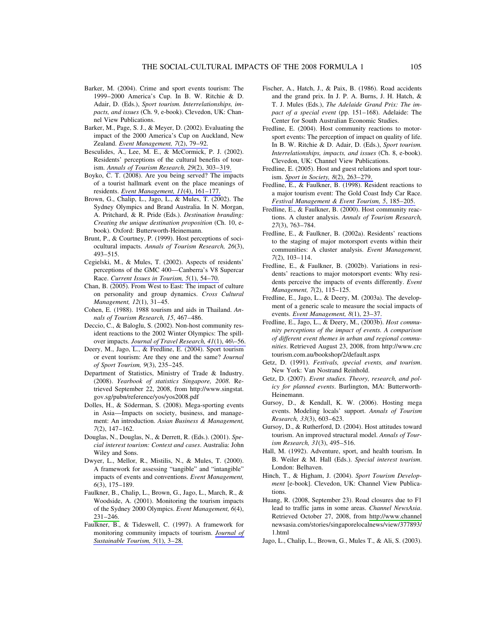- Barker, M. (2004). Crime and sport events tourism: The 1999-2000 America's Cup. In B. W. Ritchie & D. Adair, D. (Eds.), Sport tourism, Interrelationships, impacts, and issues (Ch. 9, e-book). Clevedon, UK: Channel View Publications.
- Barker, M., Page, S. J., & Meyer, D. (2002). Evaluating the impact of the 2000 America's Cup on Auckland, New Zealand. Event Management, 7(2), 79-92.
- Besculides,  $\overline{A}$ ., Lee, M. E., & McCormick, P. J. (2002). Residents' perceptions of the cultural benefits of tourism. Annals of Tourism Research, 29(2), 303-319.
- Boyko, C. T. (2008). Are you being served? The impacts of a tourist hallmark event on the place meanings of residents. Event Management, 11(4), 161-177.
- Brown, G., Chalip, L., Jago, L., & Mules, T. (2002). The Sydney Olympics and Brand Australia. In N. Morgan, A. Pritchard, & R. Pride (Eds.). Destination branding: Creating the unique destination proposition (Ch. 10, ebook). Oxford: Butterworth-Heinemann.
- Brunt, P., & Courtney, P. (1999). Host perceptions of sociocultural impacts. Annals of Tourism Research, 26(3),  $493 - 515$ .
- Cegielski, M., & Mules, T. (2002). Aspects of residents' perceptions of the GMC 400—Canberra's V8 Supercar Race. Current Issues in Tourism, 5(1), 54-70.
- Chan, B. (2005). From West to East: The impact of culture on personality and group dynamics. Cross Cultural Management, 12(1), 31-45.
- Cohen, E. (1988). 1988 tourism and aids in Thailand. Annals of Tourism Research, 15, 467-486.
- Deccio, C., & Baloglu, S. (2002). Non-host community resident reactions to the 2002 Winter Olympics: The spillover impacts. Journal of Travel Research, 41(1), 46\-56.
- Deery, M., Jago, L., & Fredline, E. (2004). Sport tourism or event tourism: Are they one and the same? Journal of Sport Tourism, 9(3), 235-245.
- Department of Statistics, Ministry of Trade & Industry. (2008). Yearbook of statistics Singapore, 2008. Retrieved September 22, 2008, from http://www.singstat. gov.sg/pubn/reference/yos/yos2008.pdf
- Dolles, H., & Söderman, S. (2008). Mega-sporting events in Asia—Impacts on society, business, and management: An introduction. Asian Business & Management,  $7(2)$ ,  $147-162$ .
- Douglas, N., Douglas, N., & Derrett, R. (Eds.). (2001). Special interest tourism: Context and cases. Australia: John Wiley and Sons.
- Dwyer, L., Mellor, R., Mistilis, N., & Mules, T. (2000). A framework for assessing "tangible" and "intangible" impacts of events and conventions. Event Management,  $6(3)$ ,  $175-189$ .
- Faulkner, B., Chalip, L., Brown, G., Jago, L., March, R., & Woodside, A. (2001). Monitoring the tourism impacts of the Sydney 2000 Olympics. Event Management, 6(4),  $231 - 246.$
- Faulkner, B., & Tideswell, C. (1997). A framework for monitoring community impacts of tourism. Journal of Sustainable Tourism, 5(1), 3-28.
- Fischer, A., Hatch, J., & Paix, B. (1986). Road accidents and the grand prix. In J. P. A. Burns, J. H. Hatch, & T. J. Mules (Eds.), The Adelaide Grand Prix: The impact of a special event (pp. 151-168). Adelaide: The Center for South Australian Economic Studies.
- Fredline, E. (2004). Host community reactions to motorsport events: The perception of impact on quality of life. In B. W. Ritchie & D. Adair, D. (Eds.), Sport tourism. Interrelationships, impacts, and issues (Ch. 8, e-book). Clevedon, UK: Channel View Publications.
- Fredline, E. (2005). Host and guest relations and sport tourism. Sport in Society, 8(2), 263-279.
- Fredline, E., & Faulkner, B.  $(1998)$ . Resident reactions to a major tourism event: The Gold Coast Indy Car Race. Festival Management & Event Tourism, 5, 185-205.
- Fredline, E., & Faulkner, B. (2000). Host community reactions. A cluster analysis. Annals of Tourism Research, 27(3), 763-784.
- Fredline, E., & Faulkner, B. (2002a). Residents' reactions to the staging of major motorsport events within their communities: A cluster analysis. Event Management,  $7(2)$ ,  $103 - 114$ .
- Fredline, E., & Faulkner, B. (2002b). Variations in residents' reactions to major motorsport events: Why residents perceive the impacts of events differently. Event Management, 7(2), 115-125.
- Fredline, E., Jago, L., & Deery, M. (2003a). The development of a generic scale to measure the social impacts of events. Event Management, 8(1), 23-37.
- Fredline, E., Jago, L., & Deery, M., (2003b). Host community perceptions of the impact of events. A comparison of different event themes in urban and regional communities. Retrieved August 23, 2008, from http://www.crc tourism.com.au/bookshop/2/default.aspx
- Getz, D. (1991). Festivals, special events, and tourism. New York: Van Nostrand Reinhold.
- Getz, D. (2007). Event studies. Theory, research, and policy for planned events. Burlington, MA: Butterworth-Heinemann.
- Gursoy, D., & Kendall, K. W. (2006). Hosting mega events. Modeling locals' support. Annals of Tourism Research, 33(3), 603-623.
- Gursoy, D., & Rutherford, D. (2004). Host attitudes toward tourism. An improved structural model. Annals of Tourism Research, 31(3), 495-516.
- Hall, M. (1992). Adventure, sport, and health tourism. In B. Weiler & M. Hall (Eds.). Special interest tourism. London: Belhaven.
- Hinch, T., & Higham, J. (2004). Sport Tourism Development [e-book]. Clevedon, UK: Channel View Publications.
- Huang, R. (2008, September 23). Road closures due to F1 lead to traffic jams in some areas. Channel NewsAsia. Retrieved October 27, 2008, from http://www.channel newsasia.com/stories/singaporelocalnews/view/377893/ 1.html
- Jago, L., Chalip, L., Brown, G., Mules T., & Ali, S. (2003).